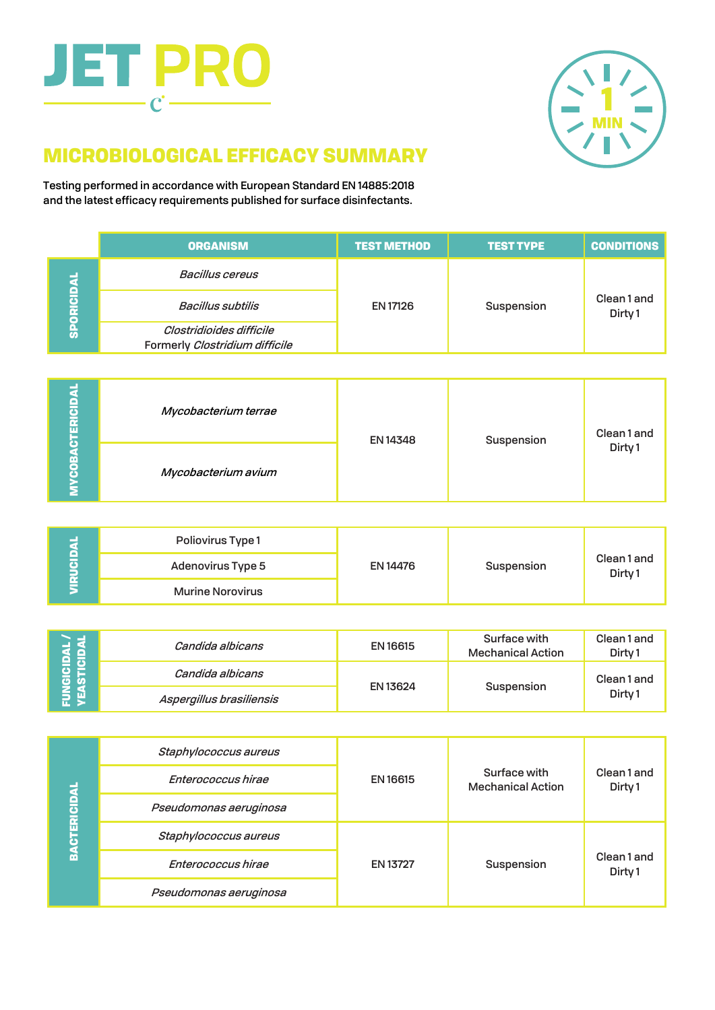# **JET PRO**  $\mathbf{C}$  -



## MICROBIOLOGICAL EFFICACY SUMMARY

Testing performed in accordance with European Standard EN 14885:2018 and the latest efficacy requirements published for surface disinfectants.

|           | <b>ORGANISM</b>                                            | <b>TEST METHOD</b> | <b>TEST TYPE</b> | <b>CONDITIONS</b>                |
|-----------|------------------------------------------------------------|--------------------|------------------|----------------------------------|
| PORICIDA  | Bacillus cereus                                            | <b>EN 17126</b>    | Suspension       | Clean1 and<br>Dirty <sub>1</sub> |
|           | <b>Bacillus subtilis</b>                                   |                    |                  |                                  |
| $\bar{a}$ | Clostridioides difficile<br>Formerly Clostridium difficile |                    |                  |                                  |

| œ<br>ERICIDA                     | Mycobacterium terrae | <b>EN 14348</b> | Suspension | Clean1 and         |
|----------------------------------|----------------------|-----------------|------------|--------------------|
| $\overline{6}$<br>$\overline{c}$ | Mycobacterium avium  |                 |            | Dirty <sub>1</sub> |

| e<br>G<br>$\vec{E}$ | Poliovirus Type 1        | EN 14476 | Suspension | Clean1 and<br>Dirty <sub>1</sub> |
|---------------------|--------------------------|----------|------------|----------------------------------|
|                     | <b>Adenovirus Type 5</b> |          |            |                                  |
|                     | <b>Murine Norovirus</b>  |          |            |                                  |

| a e      | Candida albicans         | EN 16615        | Surface with<br><b>Mechanical Action</b> | Clean 1 and<br>Dirty <sub>1</sub> |
|----------|--------------------------|-----------------|------------------------------------------|-----------------------------------|
| ខ្ទី ខ្ទ | Candida albicans         | <b>EN 13624</b> | Suspension                               | Clean1 and                        |
|          | Aspergillus brasiliensis |                 |                                          | Dirty <sub>1</sub>                |

| <b>BACTERICIDAL</b> | Staphylococcus aureus  | EN 16615        | Surface with<br><b>Mechanical Action</b> | Clean1 and<br>Dirty 1 |
|---------------------|------------------------|-----------------|------------------------------------------|-----------------------|
|                     | Enterococcus hirae     |                 |                                          |                       |
|                     | Pseudomonas aeruginosa |                 |                                          |                       |
|                     | Staphylococcus aureus  | <b>EN 13727</b> | Suspension                               | Clean1 and<br>Dirty 1 |
|                     | Enterococcus hirae     |                 |                                          |                       |
|                     | Pseudomonas aeruginosa |                 |                                          |                       |